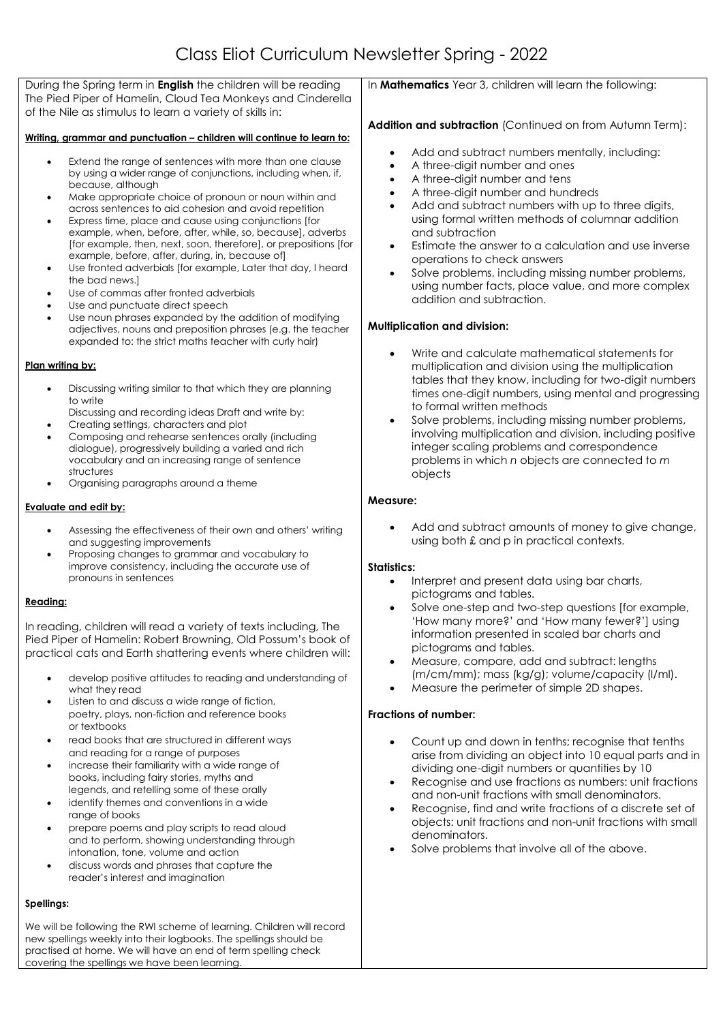During the Spring term in **English** the children will be reading The Pied Piper of Hamelin, Cloud Tea Monkeys and Cinderella of the Nile as stimulus to learn a variety of skills in:

#### **Writing, grammar and punctuation – children will continue to learn to:**

- Extend the range of sentences with more than one clause by using a wider range of conjunctions, including when, if, because, although
- Make appropriate choice of pronoun or noun within and across sentences to aid cohesion and avoid repetition
- Express time, place and cause using conjunctions [for example, when, before, after, while, so, because], adverbs [for example, then, next, soon, therefore], or prepositions [for example, before, after, during, in, because of]
- Use fronted adverbials [for example, Later that day, I heard the bad news.]
- Use of commas after fronted adverbials
- Use and punctuate direct speech
- Use noun phrases expanded by the addition of modifying adjectives, nouns and preposition phrases (e.g. the teacher expanded to: the strict maths teacher with curly hair)

## **Plan writing by:**

- Discussing writing similar to that which they are planning to write
- Discussing and recording ideas Draft and write by: Creating settings, characters and plot
- Composing and rehearse sentences orally (including dialogue), progressively building a varied and rich vocabulary and an increasing range of sentence structures
- Organising paragraphs around a theme

#### **Evaluate and edit by:**

- Assessing the effectiveness of their own and others' writing and suggesting improvements
- Proposing changes to grammar and vocabulary to improve consistency, including the accurate use of pronouns in sentences

#### **Reading:**

In reading, children will read a variety of texts including, The Pied Piper of Hamelin: Robert Browning, Old Possum's book of practical cats and Earth shattering events where children will:

- develop positive attitudes to reading and understanding of what they read
- Listen to and discuss a wide range of fiction, poetry, plays, non-fiction and reference books or textbooks
- read books that are structured in different ways and reading for a range of purposes
- increase their familiarity with a wide range of books, including fairy stories, myths and legends, and retelling some of these orally
- identify themes and conventions in a wide
- range of books
- prepare poems and play scripts to read aloud and to perform, showing understanding through intonation, tone, volume and action
- discuss words and phrases that capture the reader's interest and imagination

## **Spellings:**

We will be following the RWI scheme of learning. Children will record new spellings weekly into their logbooks. The spellings should be practised at home. We will have an end of term spelling check covering the spellings we have been learning.

In **Mathematics** Year 3, children will learn the following:

## **Addition and subtraction** (Continued on from Autumn Term):

- Add and subtract numbers mentally, including:
- A three-digit number and ones
- A three-digit number and tens
- A three-digit number and hundreds
- Add and subtract numbers with up to three digits, using formal written methods of columnar addition and subtraction
- Estimate the answer to a calculation and use inverse operations to check answers
- Solve problems, including missing number problems, using number facts, place value, and more complex addition and subtraction.

## **Multiplication and division:**

- Write and calculate mathematical statements for multiplication and division using the multiplication tables that they know, including for two-digit numbers times one-digit numbers, using mental and progressing to formal written methods
- Solve problems, including missing number problems, involving multiplication and division, including positive integer scaling problems and correspondence problems in which *n* objects are connected to *m*  objects

# **Measure:**

 Add and subtract amounts of money to give change, using both £ and p in practical contexts.

## **Statistics:**

- Interpret and present data using bar charts, pictograms and tables.
- Solve one-step and two-step questions [for example, 'How many more?' and 'How many fewer?'] using information presented in scaled bar charts and pictograms and tables.
- Measure, compare, add and subtract: lengths (m/cm/mm); mass (kg/g); volume/capacity (l/ml).
- Measure the perimeter of simple 2D shapes.

## **Fractions of number:**

- Count up and down in tenths; recognise that tenths arise from dividing an object into 10 equal parts and in dividing one-digit numbers or quantities by 10
- Recognise and use fractions as numbers: unit fractions and non-unit fractions with small denominators.
- Recognise, find and write fractions of a discrete set of objects: unit fractions and non-unit fractions with small denominators.
- Solve problems that involve all of the above.